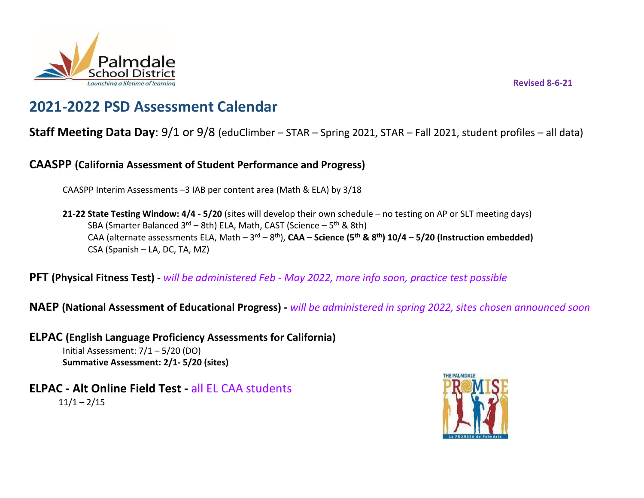

**Revised 8-6-21** 

# **2021-2022 PSD Assessment Calendar**

# **Staff Meeting Data Day**: 9/1 or 9/8 (eduClimber – STAR – Spring 2021, STAR – Fall 2021, student profiles – all data)

**CAASPP (California Assessment of Student Performance and Progress)**

CAASPP Interim Assessments –3 IAB per content area (Math & ELA) by 3/18

**21-22 State Testing Window: 4/4 - 5/20** (sites will develop their own schedule – no testing on AP or SLT meeting days) SBA (Smarter Balanced 3<sup>rd</sup> – 8th) ELA, Math, CAST (Science – 5<sup>th</sup> & 8th) CAA (alternate assessments ELA, Math – 3<sup>rd</sup> – 8<sup>th</sup>), **CAA – Science (5<sup>th</sup> & 8<sup>th</sup>) 10/4 – 5/20 (Instruction embedded)** CSA (Spanish – LA, DC, TA, MZ)

**PFT (Physical Fitness Test) -** *will be administered Feb - May 2022, more info soon, practice test possible*

**NAEP (National Assessment of Educational Progress) -** *will be administered in spring 2022, sites chosen announced soon*

- **ELPAC (English Language Proficiency Assessments for California)** Initial Assessment: 7/1 – 5/20 (DO) **Summative Assessment: 2/1- 5/20 (sites)**
- **ELPAC - Alt Online Field Test -** all EL CAA students  $11/1 - 2/15$

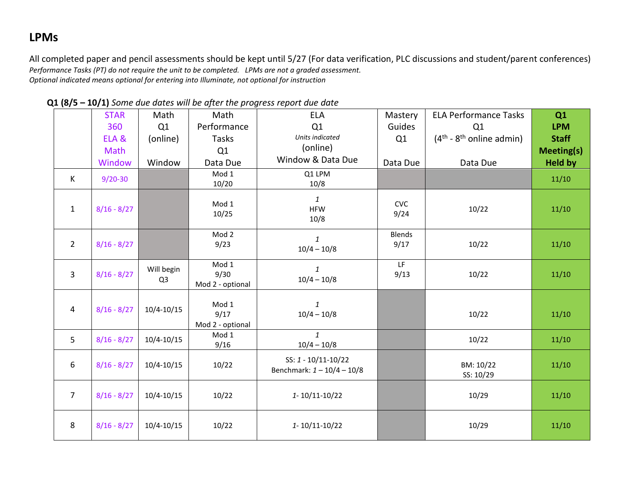# **LPMs**

All completed paper and pencil assessments should be kept until 5/27 (For data verification, PLC discussions and student/parent conferences) *Performance Tasks (PT) do not require the unit to be completed. LPMs are not a graded assessment. Optional indicated means optional for entering into Illuminate, not optional for instruction*

| $\overline{\phantom{a}}$ |               |                              |                                   |                                                     |                       |                                                 |                   |
|--------------------------|---------------|------------------------------|-----------------------------------|-----------------------------------------------------|-----------------------|-------------------------------------------------|-------------------|
|                          | <b>STAR</b>   | Math                         | Math                              | <b>ELA</b>                                          | Mastery               | <b>ELA Performance Tasks</b>                    | Q1                |
|                          | 360           | Q1                           | Performance                       | Q1                                                  | Guides                | Q1                                              | <b>LPM</b>        |
|                          | ELA &         | (online)                     | Tasks                             | Units indicated                                     | Q1                    | $(4^{\text{th}} - 8^{\text{th}})$ online admin) | <b>Staff</b>      |
|                          | Math          |                              | Q1                                | (online)                                            |                       |                                                 | <b>Meeting(s)</b> |
|                          | Window        | Window                       | Data Due                          | Window & Data Due                                   | Data Due              | Data Due                                        | <b>Held by</b>    |
| K                        | $9/20 - 30$   |                              | Mod 1                             | Q1 LPM                                              |                       |                                                 | 11/10             |
|                          |               |                              | 10/20                             | 10/8                                                |                       |                                                 |                   |
| $\mathbf{1}$             | $8/16 - 8/27$ |                              | Mod 1<br>10/25                    | $\mathbf{1}$<br><b>HFW</b><br>10/8                  | <b>CVC</b><br>9/24    | 10/22                                           | 11/10             |
| $\overline{2}$           | $8/16 - 8/27$ |                              | Mod 2<br>9/23                     | $\mathbf{1}$<br>$10/4 - 10/8$                       | <b>Blends</b><br>9/17 | 10/22                                           | 11/10             |
| 3                        | $8/16 - 8/27$ | Will begin<br>Q <sub>3</sub> | Mod 1<br>9/30<br>Mod 2 - optional | $\mathbf{1}$<br>$10/4 - 10/8$                       | LF<br>9/13            | 10/22                                           | 11/10             |
| $\overline{a}$           | $8/16 - 8/27$ | $10/4 - 10/15$               | Mod 1<br>9/17<br>Mod 2 - optional | $\mathbf{1}$<br>$10/4 - 10/8$                       |                       | 10/22                                           | 11/10             |
| 5                        | $8/16 - 8/27$ | $10/4 - 10/15$               | Mod 1<br>9/16                     | $\mathbf{1}$<br>$10/4 - 10/8$                       |                       | 10/22                                           | 11/10             |
| 6                        | $8/16 - 8/27$ | $10/4 - 10/15$               | 10/22                             | SS: 1 - 10/11-10/22<br>Benchmark: $1 - 10/4 - 10/8$ |                       | BM: 10/22<br>SS: 10/29                          | 11/10             |
| $\overline{7}$           | $8/16 - 8/27$ | $10/4 - 10/15$               | 10/22                             | $1 - 10/11 - 10/22$                                 |                       | 10/29                                           | 11/10             |
| 8                        | $8/16 - 8/27$ | $10/4 - 10/15$               | 10/22                             | 1-10/11-10/22                                       |                       | 10/29                                           | 11/10             |

 **Q1 (8/5 – 10/1)** *Some due dates will be after the progress report due date*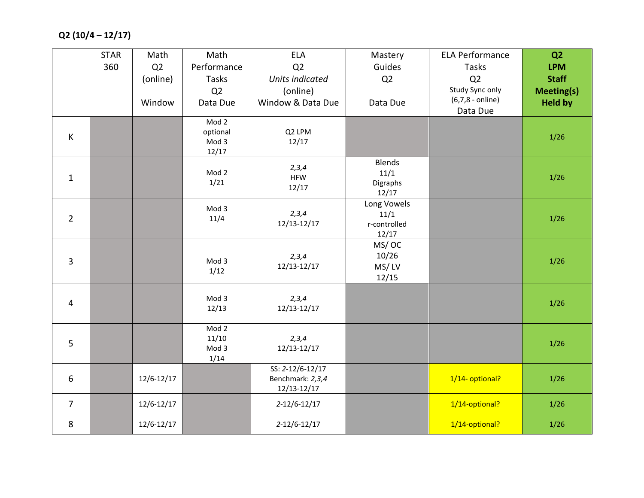**Q2 (10/4 – 12/17)** 

|                | <b>STAR</b> | Math           | Math        | <b>ELA</b>                      | Mastery               | <b>ELA Performance</b>                | Q <sub>2</sub>    |
|----------------|-------------|----------------|-------------|---------------------------------|-----------------------|---------------------------------------|-------------------|
|                | 360         | Q2             | Performance | Q2                              | Guides                | Tasks                                 | <b>LPM</b>        |
|                |             | (online)       | Tasks       | <b>Units indicated</b>          | Q2                    | Q2                                    | <b>Staff</b>      |
|                |             |                | Q2          | (online)                        |                       | Study Sync only                       | <b>Meeting(s)</b> |
|                |             | Window         | Data Due    | Window & Data Due               | Data Due              | $(6,7,8 - \text{online})$<br>Data Due | <b>Held by</b>    |
|                |             |                | Mod 2       |                                 |                       |                                       |                   |
| $\sf K$        |             |                | optional    | Q2 LPM                          |                       |                                       | $1/26$            |
|                |             |                | Mod 3       | 12/17                           |                       |                                       |                   |
|                |             |                | 12/17       |                                 |                       |                                       |                   |
|                |             |                | Mod 2       | 2,3,4                           | <b>Blends</b><br>11/1 |                                       |                   |
| $\mathbf{1}$   |             |                | 1/21        | <b>HFW</b>                      | Digraphs              |                                       | $1/26$            |
|                |             |                |             | 12/17                           | 12/17                 |                                       |                   |
|                |             |                | Mod 3       |                                 | Long Vowels           |                                       |                   |
| $\overline{2}$ |             |                | 11/4        | 2,3,4                           | 11/1                  |                                       | $1/26$            |
|                |             |                |             | 12/13-12/17                     | r-controlled          |                                       |                   |
|                |             |                |             |                                 | 12/17                 |                                       |                   |
|                |             |                |             | 2,3,4                           | MS/OC<br>10/26        |                                       |                   |
| 3              |             |                | Mod 3       | 12/13-12/17                     | MS/LV                 |                                       | 1/26              |
|                |             |                | 1/12        |                                 | 12/15                 |                                       |                   |
|                |             |                |             |                                 |                       |                                       |                   |
| $\overline{4}$ |             |                | Mod 3       | 2,3,4                           |                       |                                       | $1/26$            |
|                |             |                | 12/13       | 12/13-12/17                     |                       |                                       |                   |
|                |             |                | Mod 2       |                                 |                       |                                       |                   |
|                |             |                | 11/10       | 2,3,4                           |                       |                                       |                   |
| 5              |             |                | Mod 3       | 12/13-12/17                     |                       |                                       | $1/26$            |
|                |             |                | 1/14        |                                 |                       |                                       |                   |
|                |             |                |             | SS: 2-12/6-12/17                |                       |                                       |                   |
| 6              |             | $12/6 - 12/17$ |             | Benchmark: 2,3,4<br>12/13-12/17 |                       | 1/14- optional?                       | 1/26              |
|                |             |                |             |                                 |                       |                                       |                   |
| $\overline{7}$ |             | $12/6 - 12/17$ |             | $2 - 12/6 - 12/17$              |                       | 1/14-optional?                        | $1/26$            |
| 8              |             | 12/6-12/17     |             | $2 - 12/6 - 12/17$              |                       | 1/14-optional?                        | $1/26$            |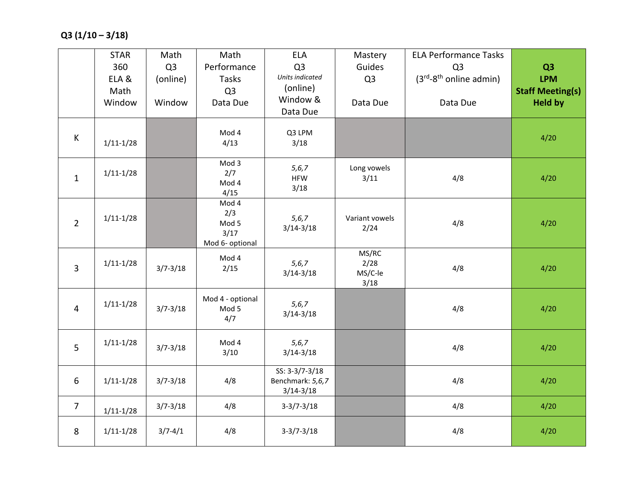|                | <b>STAR</b>   | Math           | Math             | <b>ELA</b>                         | Mastery             | <b>ELA Performance Tasks</b>    |                         |
|----------------|---------------|----------------|------------------|------------------------------------|---------------------|---------------------------------|-------------------------|
|                | 360           | Q <sub>3</sub> | Performance      | Q <sub>3</sub>                     | Guides              | Q <sub>3</sub>                  | Q <sub>3</sub>          |
|                | ELA &         | (online)       | Tasks            | Units indicated                    | Q <sub>3</sub>      | $(3^{rd}-8^{th})$ online admin) | <b>LPM</b>              |
|                | Math          |                | Q <sub>3</sub>   | (online)<br>Window &               |                     |                                 | <b>Staff Meeting(s)</b> |
|                | Window        | Window         | Data Due         | Data Due                           | Data Due            | Data Due                        | <b>Held by</b>          |
|                |               |                |                  |                                    |                     |                                 |                         |
| $\sf K$        | $1/11 - 1/28$ |                | Mod 4<br>4/13    | Q3 LPM<br>3/18                     |                     |                                 | 4/20                    |
|                |               |                | Mod 3            |                                    |                     |                                 |                         |
| $\mathbf{1}$   | $1/11 - 1/28$ |                | 2/7              | 5, 6, 7<br><b>HFW</b>              | Long vowels<br>3/11 | 4/8                             | 4/20                    |
|                |               |                | Mod 4            | 3/18                               |                     |                                 |                         |
|                |               |                | 4/15<br>Mod 4    |                                    |                     |                                 |                         |
|                | $1/11 - 1/28$ |                | 2/3              |                                    | Variant vowels      |                                 |                         |
| $\overline{2}$ |               |                | Mod 5            | 5, 6, 7<br>$3/14 - 3/18$           | 2/24                | 4/8                             | 4/20                    |
|                |               |                | 3/17             |                                    |                     |                                 |                         |
|                |               |                | Mod 6- optional  |                                    | MS/RC               |                                 |                         |
| 3              | $1/11-1/28$   | $3/7 - 3/18$   | Mod 4<br>2/15    | 5, 6, 7                            | 2/28                | 4/8                             | 4/20                    |
|                |               |                |                  | $3/14 - 3/18$                      | MS/C-le             |                                 |                         |
|                |               |                |                  |                                    | 3/18                |                                 |                         |
|                | $1/11 - 1/28$ |                | Mod 4 - optional | 5, 6, 7                            |                     |                                 |                         |
| 4              |               | $3/7 - 3/18$   | Mod 5<br>4/7     | $3/14 - 3/18$                      |                     | 4/8                             | 4/20                    |
|                |               |                |                  |                                    |                     |                                 |                         |
|                | $1/11 - 1/28$ |                | Mod 4            | 5, 6, 7                            |                     |                                 |                         |
| 5              |               | $3/7 - 3/18$   | 3/10             | $3/14 - 3/18$                      |                     | 4/8                             | 4/20                    |
|                |               |                |                  |                                    |                     |                                 |                         |
| 6              | $1/11 - 1/28$ | $3/7 - 3/18$   | 4/8              | SS: 3-3/7-3/18<br>Benchmark: 5,6,7 |                     | 4/8                             | 4/20                    |
|                |               |                |                  | $3/14 - 3/18$                      |                     |                                 |                         |
| $\overline{7}$ |               | $3/7 - 3/18$   | 4/8              | $3-3/7-3/18$                       |                     | 4/8                             | 4/20                    |
|                | $1/11 - 1/28$ |                |                  |                                    |                     |                                 |                         |
| 8              | $1/11 - 1/28$ | $3/7 - 4/1$    | 4/8              | $3-3/7-3/18$                       |                     | 4/8                             | 4/20                    |
|                |               |                |                  |                                    |                     |                                 |                         |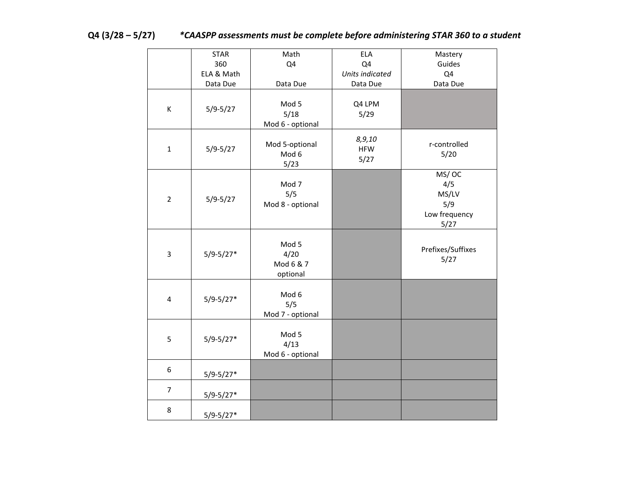| $Q4(3/28-5/27)$ | *CAASPP assessments must be complete before administering STAR 360 to a student |
|-----------------|---------------------------------------------------------------------------------|
|-----------------|---------------------------------------------------------------------------------|

|                | <b>STAR</b>   | Math                                   | ELA                          | Mastery                                               |
|----------------|---------------|----------------------------------------|------------------------------|-------------------------------------------------------|
|                | 360           | Q4                                     | Q4                           | Guides                                                |
|                | ELA & Math    |                                        | Units indicated              | Q4                                                    |
|                | Data Due      | Data Due                               | Data Due                     | Data Due                                              |
| К              | $5/9 - 5/27$  | Mod 5<br>5/18<br>Mod 6 - optional      | Q4 LPM<br>5/29               |                                                       |
| $\mathbf{1}$   | $5/9 - 5/27$  | Mod 5-optional<br>Mod 6<br>5/23        | 8,9,10<br><b>HFW</b><br>5/27 | r-controlled<br>5/20                                  |
| $\overline{2}$ | $5/9 - 5/27$  | Mod 7<br>5/5<br>Mod 8 - optional       |                              | MS/OC<br>4/5<br>MS/LV<br>5/9<br>Low frequency<br>5/27 |
| 3              | $5/9 - 5/27*$ | Mod 5<br>4/20<br>Mod 6 & 7<br>optional |                              | Prefixes/Suffixes<br>5/27                             |
| $\overline{4}$ | $5/9 - 5/27*$ | Mod 6<br>5/5<br>Mod 7 - optional       |                              |                                                       |
| 5              | $5/9 - 5/27*$ | Mod 5<br>4/13<br>Mod 6 - optional      |                              |                                                       |
| 6              | $5/9 - 5/27*$ |                                        |                              |                                                       |
| $\overline{7}$ | $5/9 - 5/27*$ |                                        |                              |                                                       |
| 8              | $5/9 - 5/27*$ |                                        |                              |                                                       |